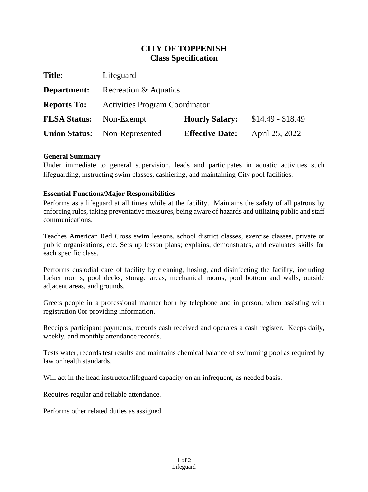# **CITY OF TOPPENISH Class Specification**

| <b>Title:</b>        | Lifeguard                             |                        |                   |
|----------------------|---------------------------------------|------------------------|-------------------|
| Department:          | Recreation & Aquatics                 |                        |                   |
| <b>Reports To:</b>   | <b>Activities Program Coordinator</b> |                        |                   |
| <b>FLSA Status:</b>  | Non-Exempt                            | <b>Hourly Salary:</b>  | $$14.49 - $18.49$ |
| <b>Union Status:</b> | Non-Represented                       | <b>Effective Date:</b> | April 25, 2022    |
|                      |                                       |                        |                   |

## **General Summary**

Under immediate to general supervision, leads and participates in aquatic activities such lifeguarding, instructing swim classes, cashiering, and maintaining City pool facilities.

## **Essential Functions/Major Responsibilities**

Performs as a lifeguard at all times while at the facility. Maintains the safety of all patrons by enforcing rules, taking preventative measures, being aware of hazards and utilizing public and staff communications.

Teaches American Red Cross swim lessons, school district classes, exercise classes, private or public organizations, etc. Sets up lesson plans; explains, demonstrates, and evaluates skills for each specific class.

Performs custodial care of facility by cleaning, hosing, and disinfecting the facility, including locker rooms, pool decks, storage areas, mechanical rooms, pool bottom and walls, outside adjacent areas, and grounds.

Greets people in a professional manner both by telephone and in person, when assisting with registration 0or providing information.

Receipts participant payments, records cash received and operates a cash register. Keeps daily, weekly, and monthly attendance records.

Tests water, records test results and maintains chemical balance of swimming pool as required by law or health standards.

Will act in the head instructor/lifeguard capacity on an infrequent, as needed basis.

Requires regular and reliable attendance.

Performs other related duties as assigned.